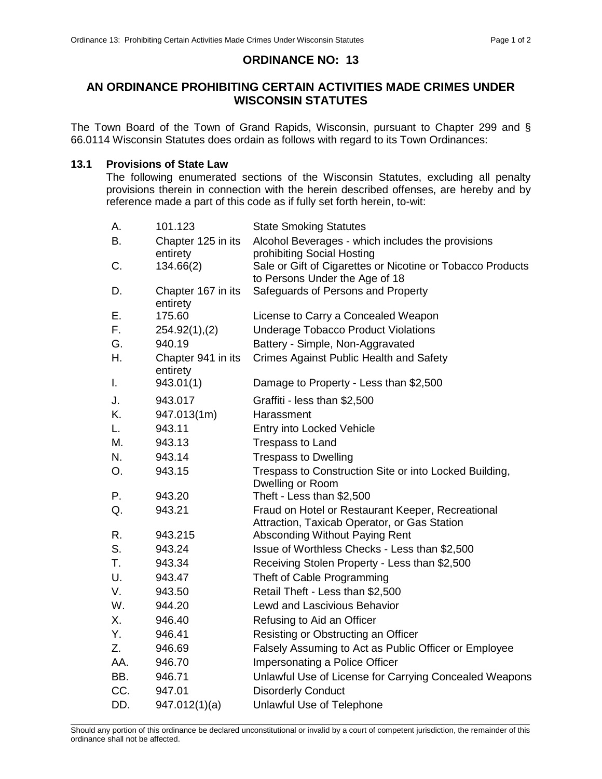## **ORDINANCE NO: 13**

# **AN ORDINANCE PROHIBITING CERTAIN ACTIVITIES MADE CRIMES UNDER WISCONSIN STATUTES**

The Town Board of the Town of Grand Rapids, Wisconsin, pursuant to Chapter 299 and § 66.0114 Wisconsin Statutes does ordain as follows with regard to its Town Ordinances:

#### **13.1 Provisions of State Law**

The following enumerated sections of the Wisconsin Statutes, excluding all penalty provisions therein in connection with the herein described offenses, are hereby and by reference made a part of this code as if fully set forth herein, to-wit:

| А.             | 101.123                        | <b>State Smoking Statutes</b>                                                                     |
|----------------|--------------------------------|---------------------------------------------------------------------------------------------------|
| В.             | Chapter 125 in its             | Alcohol Beverages - which includes the provisions                                                 |
|                | entirety                       | prohibiting Social Hosting                                                                        |
| C.             | 134.66(2)                      | Sale or Gift of Cigarettes or Nicotine or Tobacco Products                                        |
|                |                                | to Persons Under the Age of 18                                                                    |
| D.             | Chapter 167 in its<br>entirety | Safeguards of Persons and Property                                                                |
| Ε.             | 175.60                         | License to Carry a Concealed Weapon                                                               |
| F.             | $254.92(1)$ , (2)              | <b>Underage Tobacco Product Violations</b>                                                        |
| G.             | 940.19                         | Battery - Simple, Non-Aggravated                                                                  |
| Η.             | Chapter 941 in its<br>entirety | <b>Crimes Against Public Health and Safety</b>                                                    |
| I.             | 943.01(1)                      | Damage to Property - Less than \$2,500                                                            |
| J.             | 943.017                        | Graffiti - less than \$2,500                                                                      |
| K.             | 947.013(1m)                    | Harassment                                                                                        |
| L.             | 943.11                         | Entry into Locked Vehicle                                                                         |
| М.             | 943.13                         | <b>Trespass to Land</b>                                                                           |
| N.             | 943.14                         | <b>Trespass to Dwelling</b>                                                                       |
| O <sub>r</sub> | 943.15                         | Trespass to Construction Site or into Locked Building,<br>Dwelling or Room                        |
| Р.             | 943.20                         | Theft - Less than \$2,500                                                                         |
| Q.             | 943.21                         | Fraud on Hotel or Restaurant Keeper, Recreational<br>Attraction, Taxicab Operator, or Gas Station |
| R.             | 943.215                        | Absconding Without Paying Rent                                                                    |
| S.             | 943.24                         | Issue of Worthless Checks - Less than \$2,500                                                     |
| T.             | 943.34                         | Receiving Stolen Property - Less than \$2,500                                                     |
| U.             | 943.47                         | Theft of Cable Programming                                                                        |
| V.             | 943.50                         | Retail Theft - Less than \$2,500                                                                  |
| W.             | 944.20                         | <b>Lewd and Lascivious Behavior</b>                                                               |
| Χ.             | 946.40                         | Refusing to Aid an Officer                                                                        |
| Υ.             | 946.41                         | Resisting or Obstructing an Officer                                                               |
| Z.             | 946.69                         | Falsely Assuming to Act as Public Officer or Employee                                             |
| AA.            | 946.70                         | Impersonating a Police Officer                                                                    |
| BB.            | 946.71                         | Unlawful Use of License for Carrying Concealed Weapons                                            |
| CC.            | 947.01                         | <b>Disorderly Conduct</b>                                                                         |
| DD.            | 947.012(1)(a)                  | <b>Unlawful Use of Telephone</b>                                                                  |